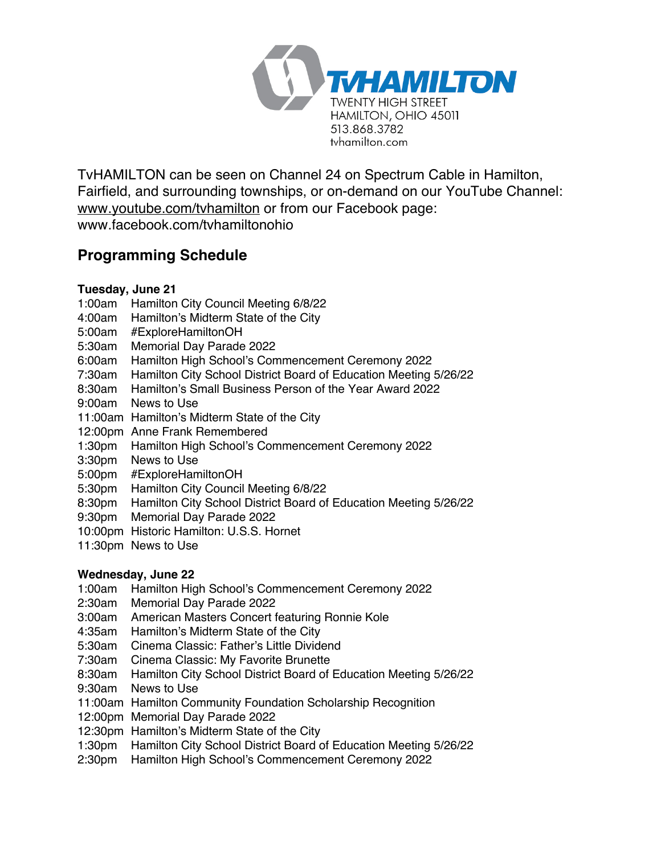

TvHAMILTON can be seen on Channel 24 on Spectrum Cable in Hamilton, Fairfield, and surrounding townships, or on-demand on our YouTube Channel: www.youtube.com/tvhamilton or from our Facebook page: www.facebook.com/tvhamiltonohio

# **Programming Schedule**

## **Tuesday, June 21**

- 1:00am Hamilton City Council Meeting 6/8/22
- 4:00am Hamilton's Midterm State of the City
- 5:00am #ExploreHamiltonOH
- 5:30am Memorial Day Parade 2022
- 6:00am Hamilton High School's Commencement Ceremony 2022
- 7:30am Hamilton City School District Board of Education Meeting 5/26/22
- 8:30am Hamilton's Small Business Person of the Year Award 2022
- 9:00am News to Use
- 11:00am Hamilton's Midterm State of the City
- 12:00pm Anne Frank Remembered
- 1:30pm Hamilton High School's Commencement Ceremony 2022
- 3:30pm News to Use
- 5:00pm #ExploreHamiltonOH
- 5:30pm Hamilton City Council Meeting 6/8/22
- 8:30pm Hamilton City School District Board of Education Meeting 5/26/22
- 9:30pm Memorial Day Parade 2022
- 10:00pm Historic Hamilton: U.S.S. Hornet
- 11:30pm News to Use

## **Wednesday, June 22**

- 1:00am Hamilton High School's Commencement Ceremony 2022
- 2:30am Memorial Day Parade 2022
- 3:00am American Masters Concert featuring Ronnie Kole
- 4:35am Hamilton's Midterm State of the City
- 5:30am Cinema Classic: Father's Little Dividend
- 7:30am Cinema Classic: My Favorite Brunette
- 8:30am Hamilton City School District Board of Education Meeting 5/26/22
- 9:30am News to Use
- 11:00am Hamilton Community Foundation Scholarship Recognition
- 12:00pm Memorial Day Parade 2022
- 12:30pm Hamilton's Midterm State of the City
- 1:30pm Hamilton City School District Board of Education Meeting 5/26/22
- 2:30pm Hamilton High School's Commencement Ceremony 2022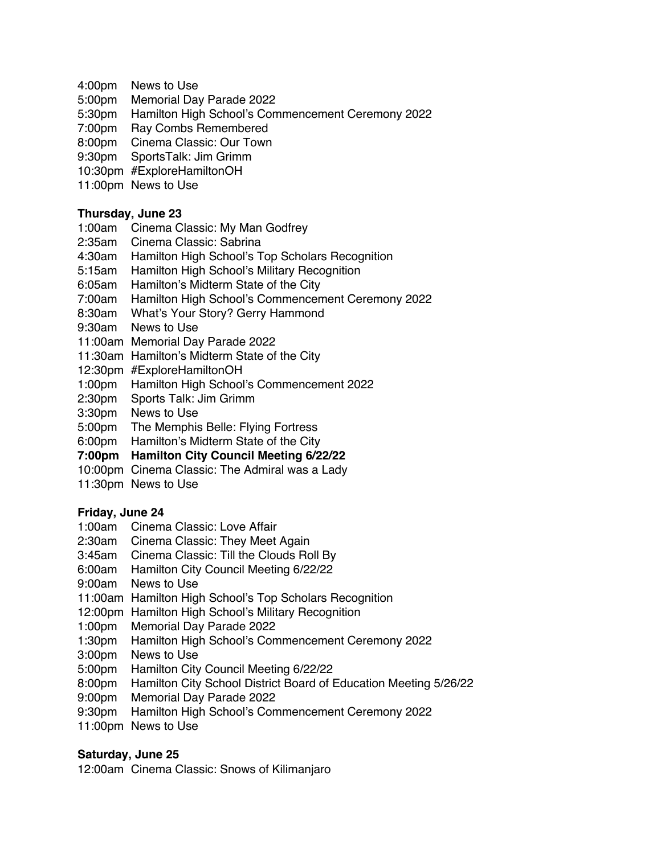- 4:00pm News to Use
- 5:00pm Memorial Day Parade 2022
- 5:30pm Hamilton High School's Commencement Ceremony 2022
- 7:00pm Ray Combs Remembered
- 8:00pm Cinema Classic: Our Town
- 9:30pm SportsTalk: Jim Grimm
- 10:30pm #ExploreHamiltonOH
- 11:00pm News to Use

## **Thursday, June 23**

- 1:00am Cinema Classic: My Man Godfrey
- 2:35am Cinema Classic: Sabrina
- 4:30am Hamilton High School's Top Scholars Recognition
- 5:15am Hamilton High School's Military Recognition
- 6:05am Hamilton's Midterm State of the City
- 7:00am Hamilton High School's Commencement Ceremony 2022
- 8:30am What's Your Story? Gerry Hammond
- 9:30am News to Use
- 11:00am Memorial Day Parade 2022
- 11:30am Hamilton's Midterm State of the City
- 12:30pm #ExploreHamiltonOH
- 1:00pm Hamilton High School's Commencement 2022
- 2:30pm Sports Talk: Jim Grimm
- 3:30pm News to Use
- 5:00pm The Memphis Belle: Flying Fortress
- 6:00pm Hamilton's Midterm State of the City
- **7:00pm Hamilton City Council Meeting 6/22/22**
- 10:00pm Cinema Classic: The Admiral was a Lady
- 11:30pm News to Use

#### **Friday, June 24**

- 1:00am Cinema Classic: Love Affair
- 2:30am Cinema Classic: They Meet Again
- 3:45am Cinema Classic: Till the Clouds Roll By
- 6:00am Hamilton City Council Meeting 6/22/22
- 9:00am News to Use
- 11:00am Hamilton High School's Top Scholars Recognition
- 12:00pm Hamilton High School's Military Recognition
- 1:00pm Memorial Day Parade 2022
- 1:30pm Hamilton High School's Commencement Ceremony 2022
- 3:00pm News to Use
- 5:00pm Hamilton City Council Meeting 6/22/22
- 8:00pm Hamilton City School District Board of Education Meeting 5/26/22
- 9:00pm Memorial Day Parade 2022
- 9:30pm Hamilton High School's Commencement Ceremony 2022
- 11:00pm News to Use

## **Saturday, June 25**

12:00am Cinema Classic: Snows of Kilimanjaro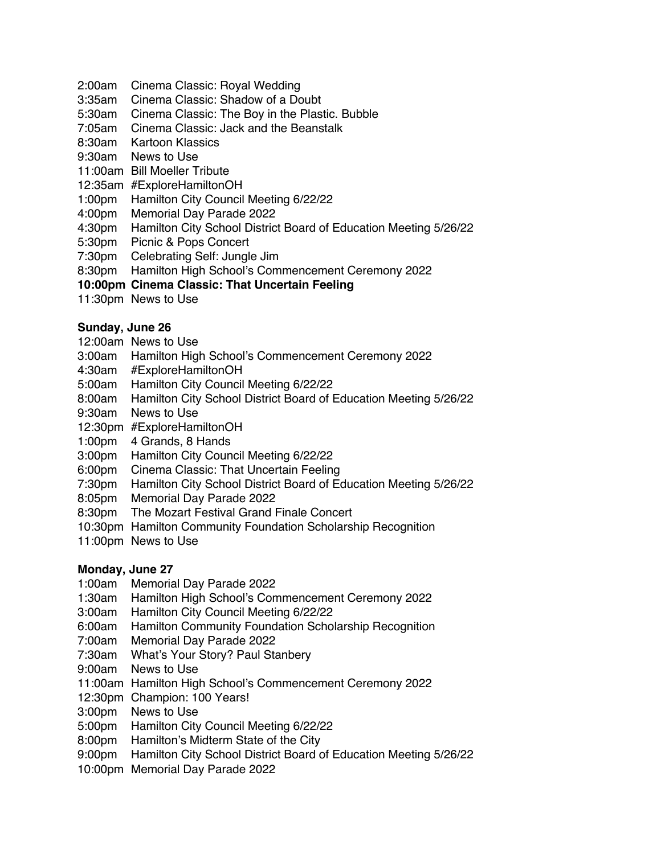- 2:00am Cinema Classic: Royal Wedding
- 3:35am Cinema Classic: Shadow of a Doubt
- 5:30am Cinema Classic: The Boy in the Plastic. Bubble
- 7:05am Cinema Classic: Jack and the Beanstalk
- 8:30am Kartoon Klassics
- 9:30am News to Use
- 11:00am Bill Moeller Tribute
- 12:35am #ExploreHamiltonOH
- 1:00pm Hamilton City Council Meeting 6/22/22
- 4:00pm Memorial Day Parade 2022
- 4:30pm Hamilton City School District Board of Education Meeting 5/26/22
- 5:30pm Picnic & Pops Concert
- 7:30pm Celebrating Self: Jungle Jim
- 8:30pm Hamilton High School's Commencement Ceremony 2022

## **10:00pm Cinema Classic: That Uncertain Feeling**

11:30pm News to Use

## **Sunday, June 26**

- 12:00am News to Use
- 3:00am Hamilton High School's Commencement Ceremony 2022
- 4:30am #ExploreHamiltonOH
- 5:00am Hamilton City Council Meeting 6/22/22
- 8:00am Hamilton City School District Board of Education Meeting 5/26/22
- 9:30am News to Use
- 12:30pm #ExploreHamiltonOH
- 1:00pm 4 Grands, 8 Hands
- 3:00pm Hamilton City Council Meeting 6/22/22
- 6:00pm Cinema Classic: That Uncertain Feeling
- 7:30pm Hamilton City School District Board of Education Meeting 5/26/22
- 8:05pm Memorial Day Parade 2022
- 8:30pm The Mozart Festival Grand Finale Concert
- 10:30pm Hamilton Community Foundation Scholarship Recognition
- 11:00pm News to Use

#### **Monday, June 27**

- 1:00am Memorial Day Parade 2022
- 1:30am Hamilton High School's Commencement Ceremony 2022
- 3:00am Hamilton City Council Meeting 6/22/22
- 6:00am Hamilton Community Foundation Scholarship Recognition
- 7:00am Memorial Day Parade 2022
- 7:30am What's Your Story? Paul Stanbery
- 9:00am News to Use
- 11:00am Hamilton High School's Commencement Ceremony 2022
- 12:30pm Champion: 100 Years!
- 3:00pm News to Use
- 5:00pm Hamilton City Council Meeting 6/22/22
- 8:00pm Hamilton's Midterm State of the City
- 9:00pm Hamilton City School District Board of Education Meeting 5/26/22
- 10:00pm Memorial Day Parade 2022